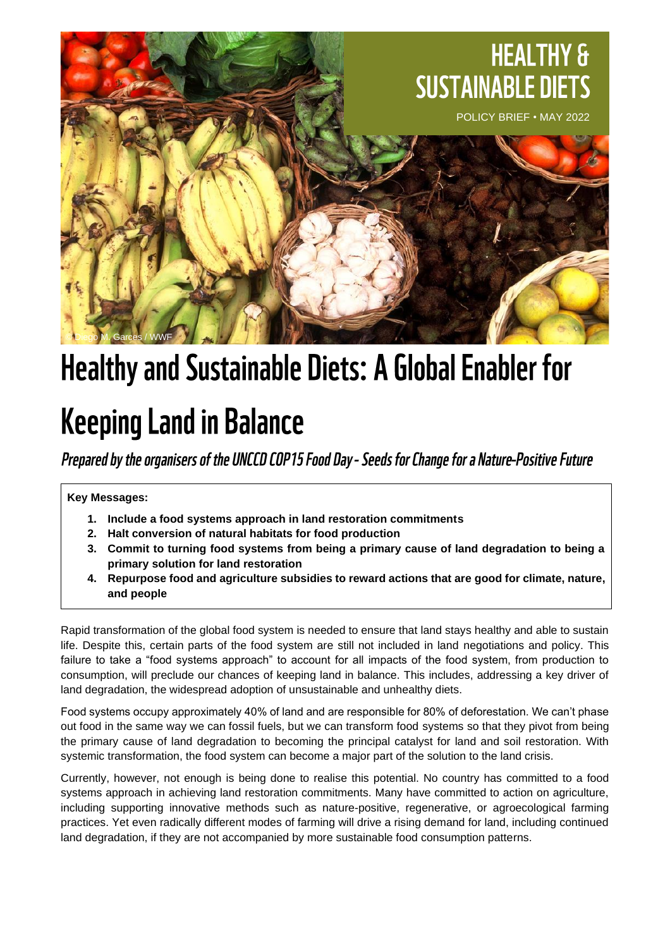

# **Healthy and Sustainable Diets: A Global Enabler for**

## **Keeping Land in Balance**

Prepared by the organisers of the UNCCD COP15 Food Day - Seeds for Change for a Nature-Positive Future

**Key Messages:**

- **1. Include a food systems approach in land restoration commitments**
- **2. Halt conversion of natural habitats for food production**
- **3. Commit to turning food systems from being a primary cause of land degradation to being a primary solution for land restoration**
- **4. Repurpose food and agriculture subsidies to reward actions that are good for climate, nature, and people**

Rapid transformation of the global food system is needed to ensure that land stays healthy and able to sustain life. Despite this, certain parts of the food system are still not included in land negotiations and policy. This failure to take a "food systems approach" to account for all impacts of the food system, from production to consumption, will preclude our chances of keeping land in balance. This includes, addressing a key driver of land degradation, the widespread adoption of unsustainable and unhealthy diets.

Food systems occupy approximately 40% of land and are responsible for 80% of deforestation. We can't phase out food in the same way we can fossil fuels, but we can transform food systems so that they pivot from being the primary cause of land degradation to becoming the principal catalyst for land and soil restoration. With systemic transformation, the food system can become a major part of the solution to the land crisis.

Currently, however, not enough is being done to realise this potential. No country has committed to a food systems approach in achieving land restoration commitments. Many have committed to action on agriculture, including supporting innovative methods such as nature-positive, regenerative, or agroecological farming practices. Yet even radically different modes of farming will drive a rising demand for land, including continued land degradation, if they are not accompanied by more sustainable food consumption patterns.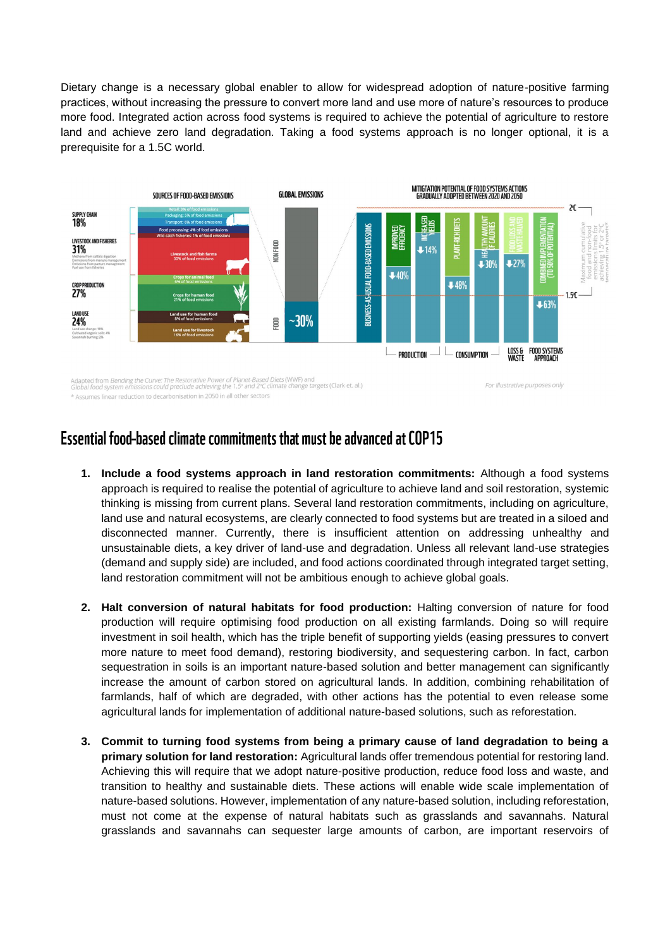Dietary change is a necessary global enabler to allow for widespread adoption of nature-positive farming practices, without increasing the pressure to convert more land and use more of nature's resources to produce more food. Integrated action across food systems is required to achieve the potential of agriculture to restore land and achieve zero land degradation. Taking a food systems approach is no longer optional, it is a prerequisite for a 1.5C world.



\* Assumes linear reduction to decarbonisation in 2050 in all other sectors

#### For illustrative purposes only

### Essential food-based climate commitments that must be advanced at COP15

- **1. Include a food systems approach in land restoration commitments:** Although a food systems approach is required to realise the potential of agriculture to achieve land and soil restoration, systemic thinking is missing from current plans. Several land restoration commitments, including on agriculture, land use and natural ecosystems, are clearly connected to food systems but are treated in a siloed and disconnected manner. Currently, there is insufficient attention on addressing unhealthy and unsustainable diets, a key driver of land-use and degradation. Unless all relevant land-use strategies (demand and supply side) are included, and food actions coordinated through integrated target setting, land restoration commitment will not be ambitious enough to achieve global goals.
- **2. Halt conversion of natural habitats for food production:** Halting conversion of nature for food production will require optimising food production on all existing farmlands. Doing so will require investment in soil health, which has the triple benefit of supporting yields (easing pressures to convert more nature to meet food demand), restoring biodiversity, and sequestering carbon. In fact, carbon sequestration in soils is an important nature-based solution and better management can significantly increase the amount of carbon stored on agricultural lands. In addition, combining rehabilitation of farmlands, half of which are degraded, with other actions has the potential to even release some agricultural lands for implementation of additional nature-based solutions, such as reforestation.
- **3. Commit to turning food systems from being a primary cause of land degradation to being a primary solution for land restoration:** Agricultural lands offer tremendous potential for restoring land. Achieving this will require that we adopt nature-positive production, reduce food loss and waste, and transition to healthy and sustainable diets. These actions will enable wide scale implementation of nature-based solutions. However, implementation of any nature-based solution, including reforestation, must not come at the expense of natural habitats such as grasslands and savannahs. Natural grasslands and savannahs can sequester large amounts of carbon, are important reservoirs of